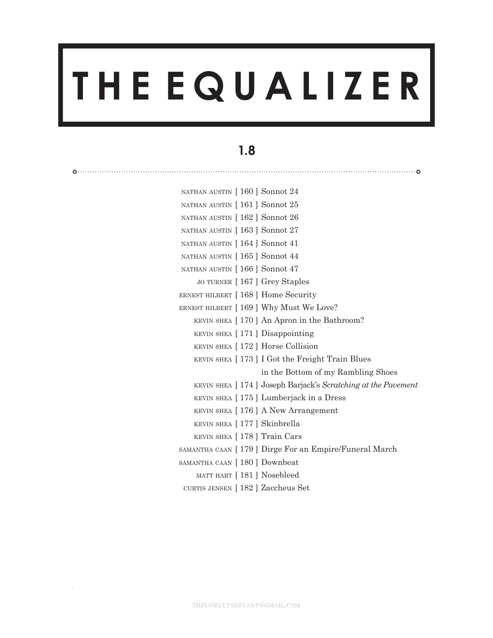# **T H E E Q U A L I Z E R**

## **1.8**

| NATHAN AUSTIN [160] Sonnot 24          |                                                                |
|----------------------------------------|----------------------------------------------------------------|
| NATHAN AUSTIN [161] Sonnot 25          |                                                                |
| NATHAN AUSTIN [162] Sonnot 26          |                                                                |
| NATHAN AUSTIN [163] Sonnot 27          |                                                                |
| NATHAN AUSTIN [164] Sonnot 41          |                                                                |
| NATHAN AUSTIN [165] Sonnot 44          |                                                                |
| NATHAN AUSTIN [166] Sonnot 47          |                                                                |
| JO TURNER [167] Grey Staples           |                                                                |
| ERNEST HILBERT [ 168 ] Home Security   |                                                                |
| ERNEST HILBERT [169] Why Must We Love? |                                                                |
|                                        | KEVIN SHEA [170] An Apron in the Bathroom?                     |
| KEVIN SHEA $[171]$ Disappointing       |                                                                |
| KEVIN SHEA [172] Horse Collision       |                                                                |
|                                        | KEVIN SHEA [173] I Got the Freight Train Blues                 |
|                                        | in the Bottom of my Rambling Shoes                             |
|                                        | KEVIN SHEA [ 174 ] Joseph Barjack's Scratching at the Pavement |
|                                        | KEVIN SHEA [175] Lumberjack in a Dress                         |
|                                        | KEVIN SHEA [176] A New Arrangement                             |
| KEVIN SHEA [177] Skinbrella            |                                                                |
| KEVIN SHEA [ 178 ] Train Cars          |                                                                |
|                                        | SAMANTHA CAAN [179] Dirge For an Empire/Funeral March          |
| SAMANTHA CAAN [180] Downbeat           |                                                                |
| MATT HART [181] Nosebleed              |                                                                |

[ 182 ] curtis jensen Zaccheus Set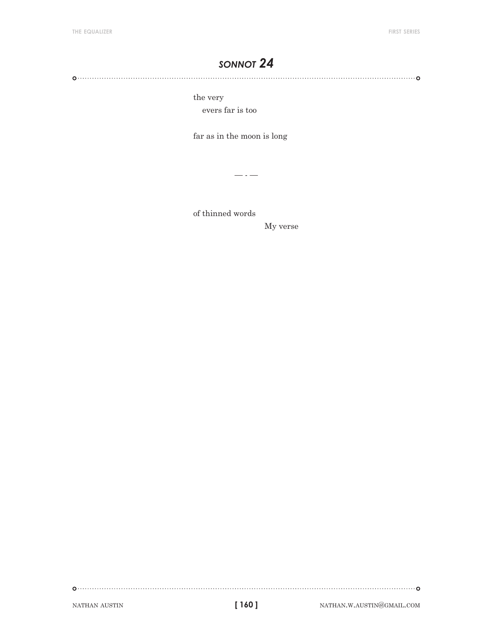the very

evers far is too

far as in the moon is long

 $- - -$ 

of thinned words

My verse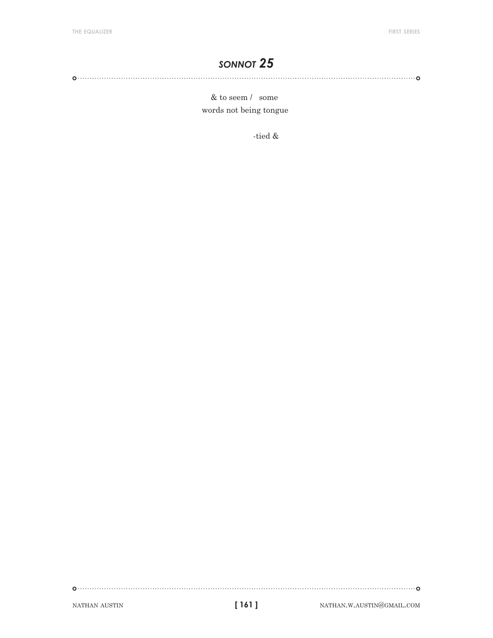& to seem / some words not being tongue

-tied &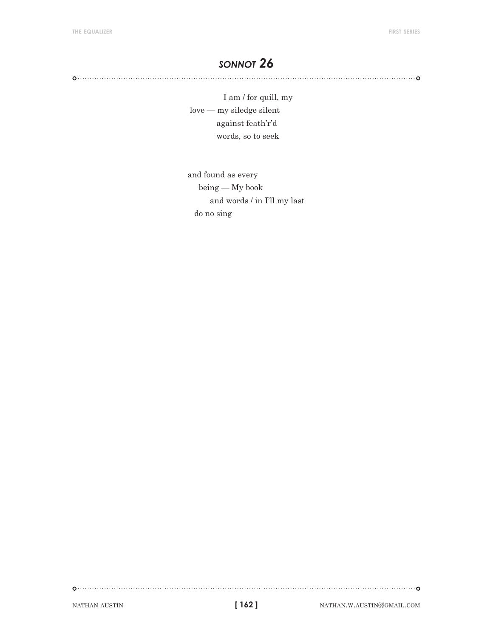I am / for quill, my love — my siledge silent against feath'r'd words, so to seek

and found as every being — My book and words / in I'll my last do no sing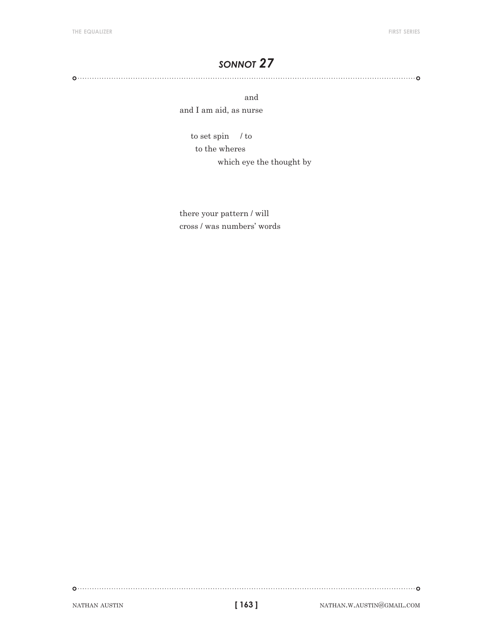and and I am aid, as nurse

> to set spin / to to the wheres which eye the thought by

there your pattern / will cross / was numbers' words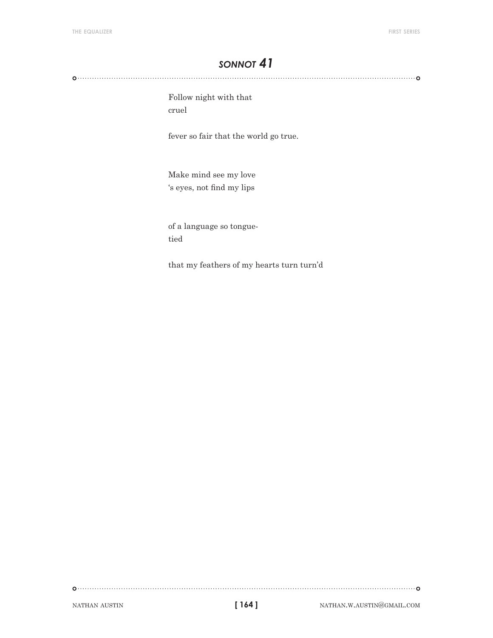Follow night with that cruel

fever so fair that the world go true.

Make mind see my love 's eyes, not find my lips

of a language so tonguetied

that my feathers of my hearts turn turn'd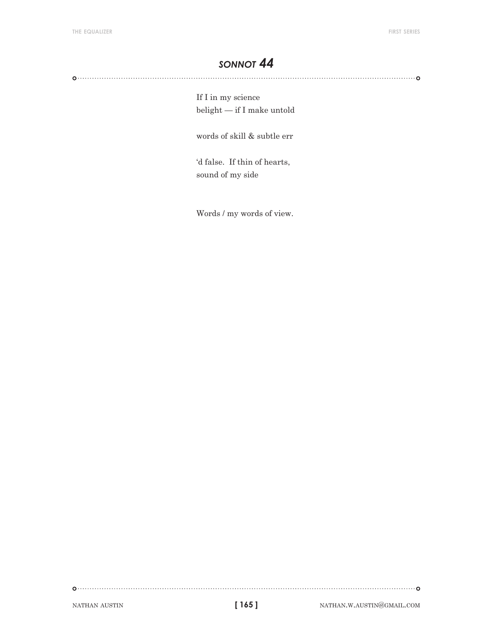If I in my science belight — if I make untold

words of skill & subtle err

'd false. If thin of hearts, sound of my side

Words / my words of view.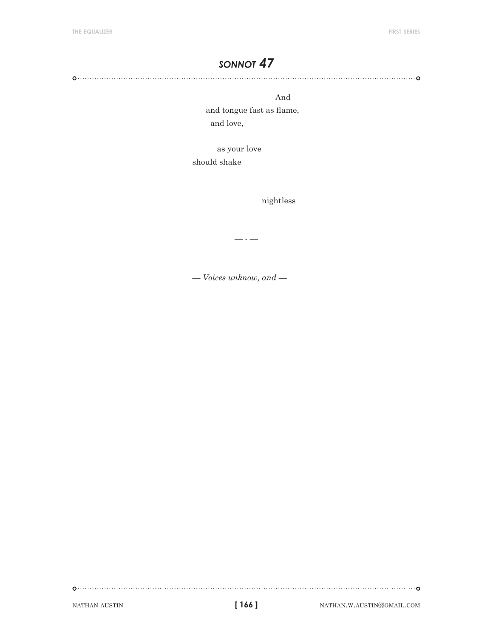And

 and tongue fast as flame, and love,

 as your love should shake

nightless

— - —

*— Voices unknow, and —*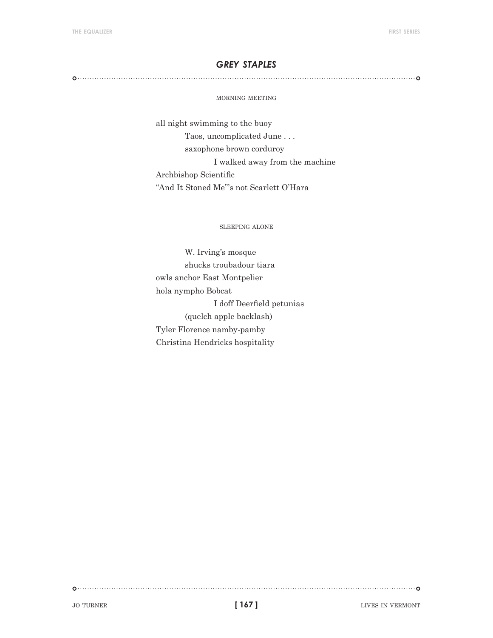#### *grey staples*

#### morning meeting

all night swimming to the buoy Taos, uncomplicated June . . . saxophone brown corduroy I walked away from the machine Archbishop Scientific "And It Stoned Me"'s not Scarlett O'Hara

sleeping alone

W. Irving's mosque shucks troubadour tiara owls anchor East Montpelier hola nympho Bobcat I doff Deerfield petunias (quelch apple backlash) Tyler Florence namby-pamby Christina Hendricks hospitality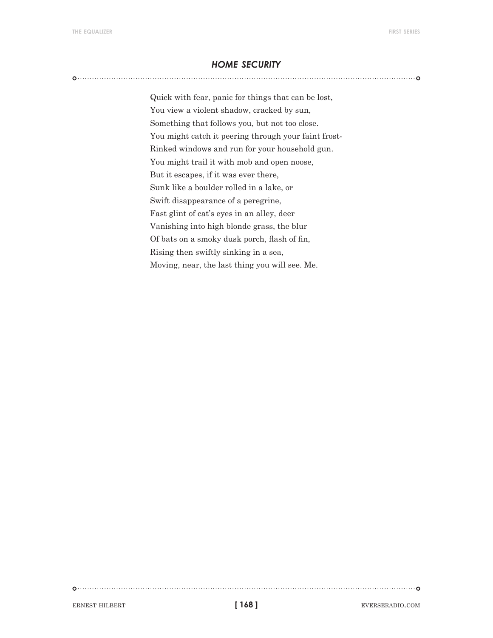#### *home security*

Quick with fear, panic for things that can be lost, You view a violent shadow, cracked by sun, Something that follows you, but not too close. You might catch it peering through your faint frost-Rinked windows and run for your household gun. You might trail it with mob and open noose, But it escapes, if it was ever there, Sunk like a boulder rolled in a lake, or Swift disappearance of a peregrine, Fast glint of cat's eyes in an alley, deer Vanishing into high blonde grass, the blur Of bats on a smoky dusk porch, flash of fin, Rising then swiftly sinking in a sea, Moving, near, the last thing you will see. Me.

ERNEST HILBERT **exercise in the set of 168** and 168 and 168 eVERSERADIO.COM

**[ 168 ]**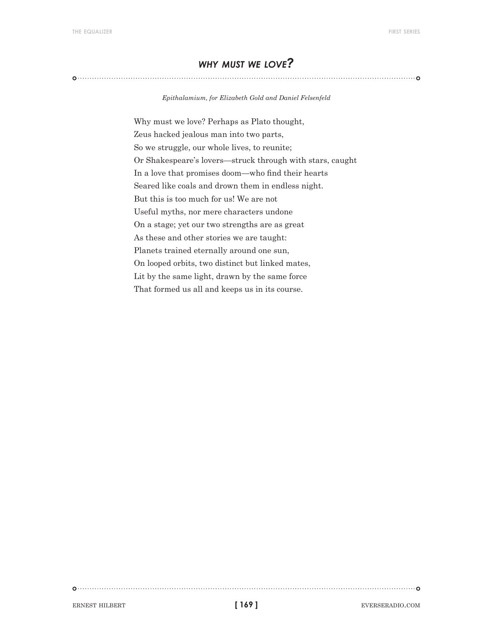### *why must we love?*

*Epithalamium, for Elizabeth Gold and Daniel Felsenfeld*

Why must we love? Perhaps as Plato thought, Zeus hacked jealous man into two parts, So we struggle, our whole lives, to reunite; Or Shakespeare's lovers—struck through with stars, caught In a love that promises doom—who find their hearts Seared like coals and drown them in endless night. But this is too much for us! We are not Useful myths, nor mere characters undone On a stage; yet our two strengths are as great As these and other stories we are taught: Planets trained eternally around one sun, On looped orbits, two distinct but linked mates, Lit by the same light, drawn by the same force That formed us all and keeps us in its course.

ERNEST HILBERT **EVERSERADIO.COM**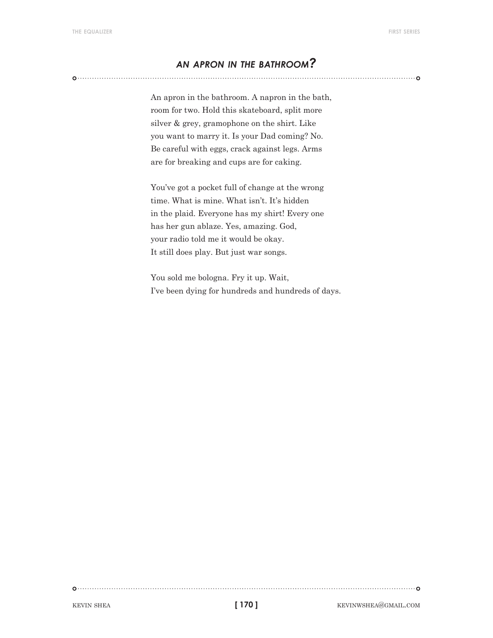#### *an apron in the bathroom?*

An apron in the bathroom. A napron in the bath, room for two. Hold this skateboard, split more silver & grey, gramophone on the shirt. Like you want to marry it. Is your Dad coming? No. Be careful with eggs, crack against legs. Arms are for breaking and cups are for caking.

You've got a pocket full of change at the wrong time. What is mine. What isn't. It's hidden in the plaid. Everyone has my shirt! Every one has her gun ablaze. Yes, amazing. God, your radio told me it would be okay. It still does play. But just war songs.

You sold me bologna. Fry it up. Wait, I've been dying for hundreds and hundreds of days.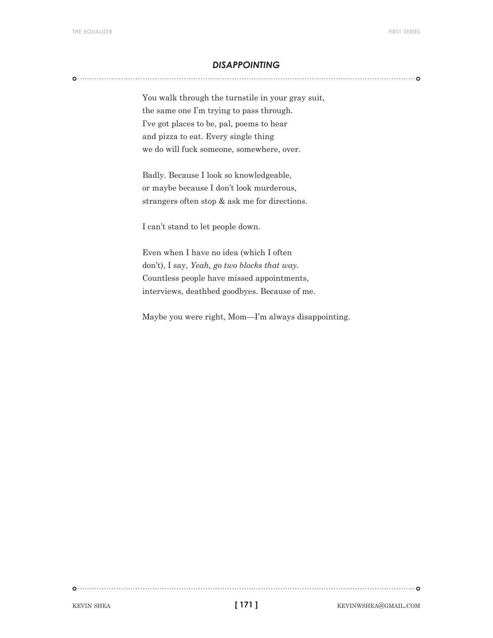#### *disappointing*

You walk through the turnstile in your gray suit, the same one I'm trying to pass through. I've got places to be, pal, poems to hear and pizza to eat. Every single thing we do will fuck someone, somewhere, over.

Badly. Because I look so knowledgeable, or maybe because I don't look murderous, strangers often stop & ask me for directions.

I can't stand to let people down.

Even when I have no idea (which I often don't), I say, *Yeah, go two blocks that way.* Countless people have missed appointments, interviews, deathbed goodbyes. Because of me.

Maybe you were right, Mom—I'm always disappointing.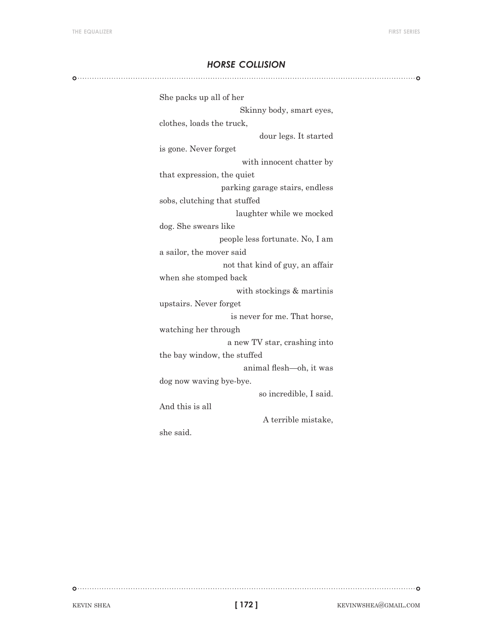#### *horse collision*

| She packs up all of her         |
|---------------------------------|
| Skinny body, smart eyes,        |
| clothes, loads the truck,       |
| dour legs. It started           |
| is gone. Never forget           |
| with innocent chatter by        |
| that expression, the quiet      |
| parking garage stairs, endless  |
| sobs, clutching that stuffed    |
| laughter while we mocked        |
| dog. She swears like            |
| people less fortunate. No, I am |
| a sailor, the mover said        |
| not that kind of guy, an affair |
| when she stomped back           |
| with stockings & martinis       |
| upstairs. Never forget          |
| is never for me. That horse,    |
| watching her through            |
| a new TV star, crashing into    |
| the bay window, the stuffed     |
| animal flesh-oh, it was         |
| dog now waving bye-bye.         |
| so incredible, I said.          |
| And this is all                 |
| A terrible mistake,             |
| she said.                       |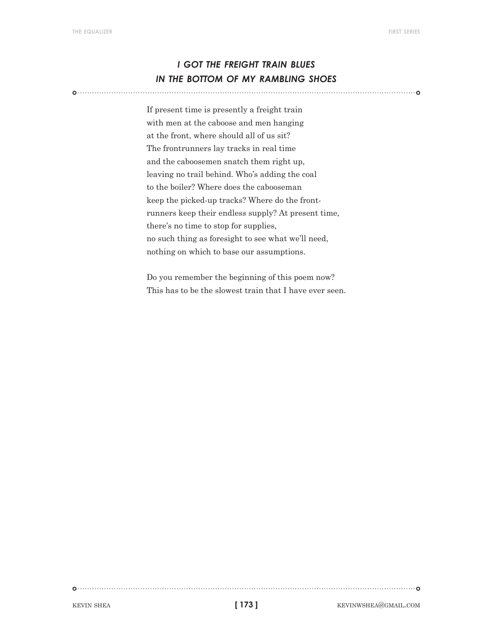## *i got the freight train blues in the bottom of my rambling shoes*

If present time is presently a freight train with men at the caboose and men hanging at the front, where should all of us sit? The frontrunners lay tracks in real time and the caboosemen snatch them right up, leaving no trail behind. Who's adding the coal to the boiler? Where does the cabooseman keep the picked-up tracks? Where do the frontrunners keep their endless supply? At present time, there's no time to stop for supplies, no such thing as foresight to see what we'll need, nothing on which to base our assumptions.

Do you remember the beginning of this poem now? This has to be the slowest train that I have ever seen.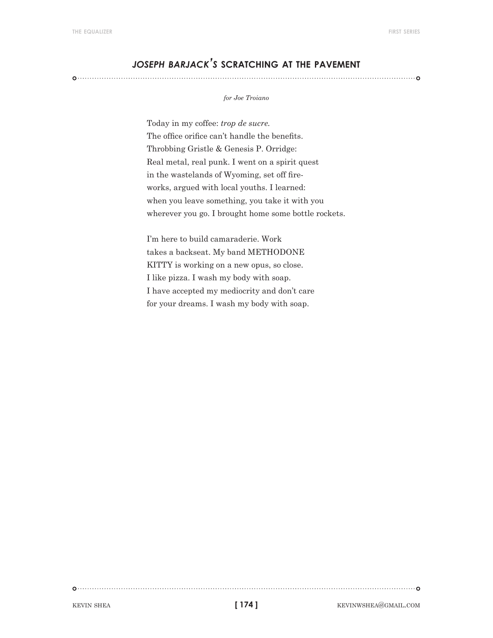### *joseph barjack's* **scratching at the pavement**

#### *for Joe Troiano*

Today in my coffee: *trop de sucre.* The office orifice can't handle the benefits. Throbbing Gristle & Genesis P. Orridge: Real metal, real punk. I went on a spirit quest in the wastelands of Wyoming, set off fireworks, argued with local youths. I learned: when you leave something, you take it with you wherever you go. I brought home some bottle rockets.

I'm here to build camaraderie. Work takes a backseat. My band METHODONE KITTY is working on a new opus, so close. I like pizza. I wash my body with soap. I have accepted my mediocrity and don't care for your dreams. I wash my body with soap.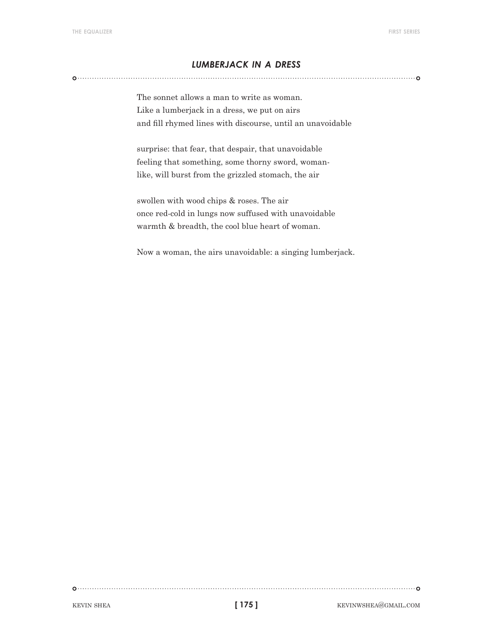#### *lumberjack in a dress*

The sonnet allows a man to write as woman. Like a lumberjack in a dress, we put on airs and fill rhymed lines with discourse, until an unavoidable

surprise: that fear, that despair, that unavoidable feeling that something, some thorny sword, womanlike, will burst from the grizzled stomach, the air

swollen with wood chips & roses. The air once red-cold in lungs now suffused with unavoidable warmth & breadth, the cool blue heart of woman.

Now a woman, the airs unavoidable: a singing lumberjack.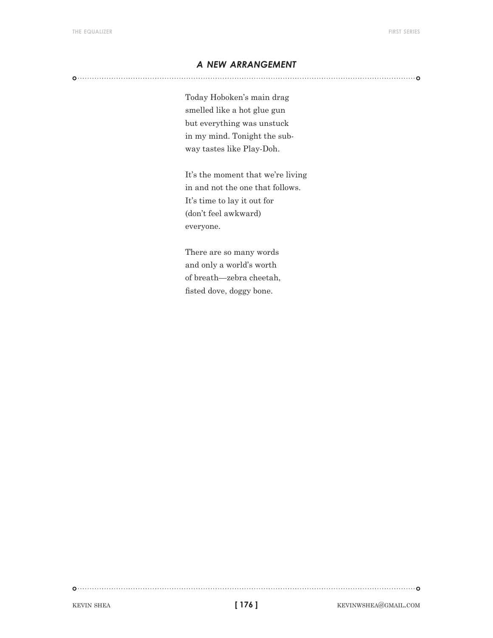#### *a new arrangement*

Today Hoboken's main drag smelled like a hot glue gun but everything was unstuck in my mind. Tonight the subway tastes like Play-Doh.

It's the moment that we're living in and not the one that follows. It's time to lay it out for (don't feel awkward) everyone.

There are so many words and only a world's worth of breath—zebra cheetah, fisted dove, doggy bone.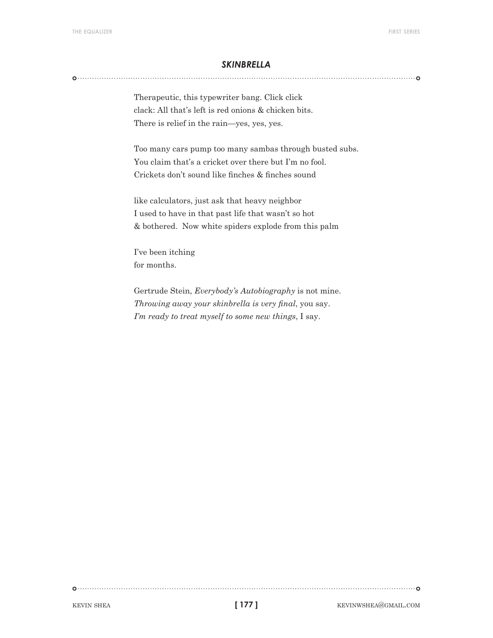#### *skinbrella*

Therapeutic, this typewriter bang. Click click clack: All that's left is red onions & chicken bits. There is relief in the rain—yes, yes, yes.

Too many cars pump too many sambas through busted subs. You claim that's a cricket over there but I'm no fool. Crickets don't sound like finches & finches sound

like calculators, just ask that heavy neighbor I used to have in that past life that wasn't so hot & bothered. Now white spiders explode from this palm

I've been itching for months.

Gertrude Stein, *Everybody's Autobiography* is not mine. *Throwing away your skinbrella is very final*, you say. *I'm ready to treat myself to some new things*, I say.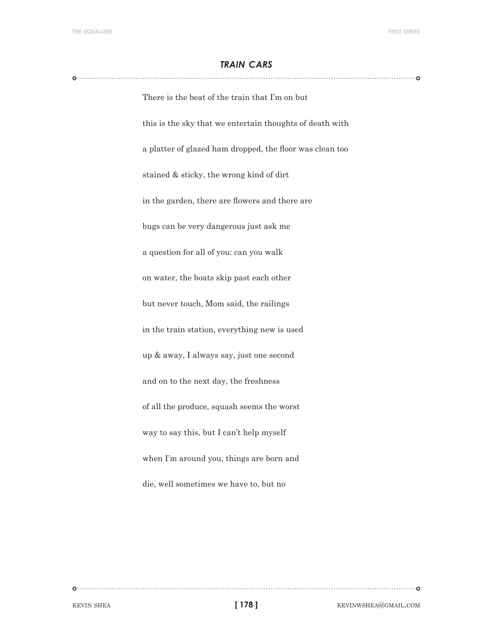#### *train cars*

There is the beat of the train that I'm on but this is the sky that we entertain thoughts of death with a platter of glazed ham dropped, the floor was clean too stained & sticky, the wrong kind of dirt in the garden, there are flowers and there are bugs can be very dangerous just ask me a question for all of you: can you walk on water, the boats skip past each other but never touch, Mom said, the railings in the train station, everything new is used up & away, I always say, just one second and on to the next day, the freshness of all the produce, squash seems the worst way to say this, but I can't help myself when I'm around you, things are born and die, well sometimes we have to, but no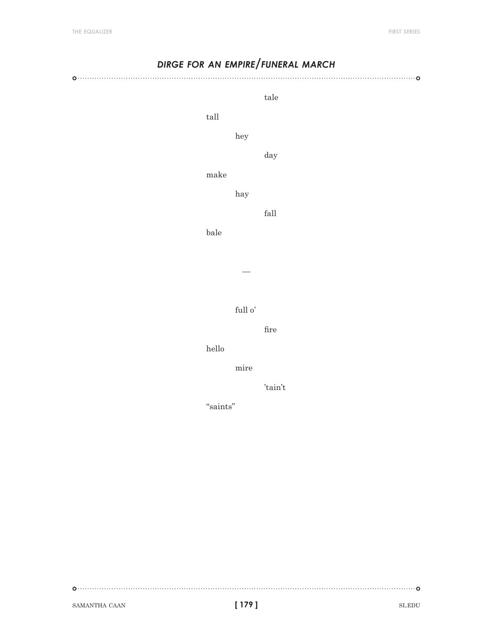| DIRGE FOR AN EMPIRE/FUNERAL MARCH |                       |                       |  |
|-----------------------------------|-----------------------|-----------------------|--|
|                                   |                       | $_{\rm tale}$         |  |
| $\ensuremath{\textrm{tall}}$      |                       |                       |  |
|                                   | hey                   |                       |  |
|                                   |                       | day                   |  |
|                                   | make                  |                       |  |
|                                   | hay                   |                       |  |
|                                   |                       | $\operatorname{fall}$ |  |
| $_{\rm{bale}}$                    |                       |                       |  |
|                                   |                       |                       |  |
|                                   |                       |                       |  |
|                                   |                       |                       |  |
|                                   | full o'               |                       |  |
|                                   |                       | $_{\rm fire}$         |  |
|                                   | $_{\rm{hello}}$       |                       |  |
|                                   | $\operatorname{mire}$ |                       |  |
|                                   |                       | 'tain't               |  |
|                                   |                       |                       |  |
|                                   |                       |                       |  |
|                                   |                       |                       |  |

 $\begin{picture}(100,100)(0,0) \put(0,0){\vector(1,0){100}} \put(10,0){\vector(1,0){100}} \put(10,0){\vector(1,0){100}} \put(10,0){\vector(1,0){100}} \put(10,0){\vector(1,0){100}} \put(10,0){\vector(1,0){100}} \put(10,0){\vector(1,0){100}} \put(10,0){\vector(1,0){100}} \put(10,0){\vector(1,0){100}} \put(10,0){\vector(1,0){100}} \put(10,0){\vector(1,0$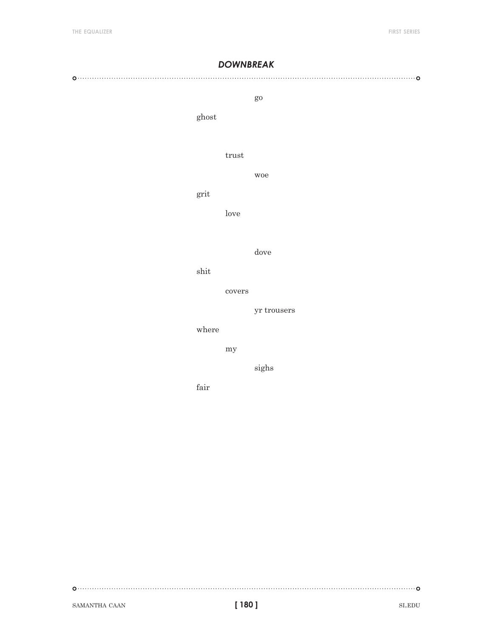#### *downbreak*

#### 

#### go

ghost

#### trust

#### grit

love

#### dove

woe

shit

#### covers

yr trousers

#### where

my

sighs

fair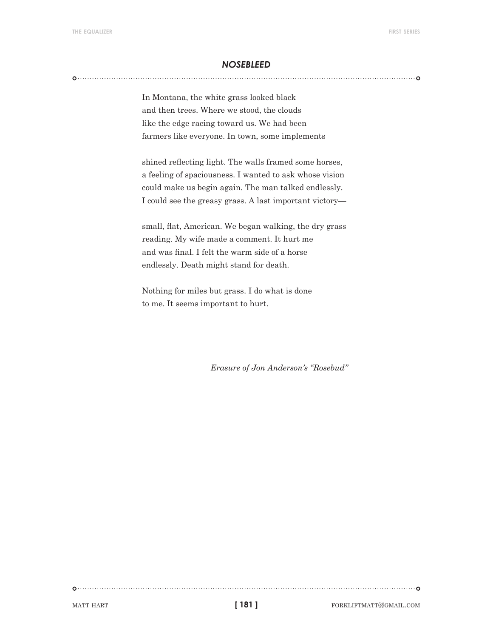#### *nosebleed*

In Montana, the white grass looked black and then trees. Where we stood, the clouds like the edge racing toward us. We had been farmers like everyone. In town, some implements

shined reflecting light. The walls framed some horses, a feeling of spaciousness. I wanted to ask whose vision could make us begin again. The man talked endlessly. I could see the greasy grass. A last important victory—

small, flat, American. We began walking, the dry grass reading. My wife made a comment. It hurt me and was final. I felt the warm side of a horse endlessly. Death might stand for death.

Nothing for miles but grass. I do what is done to me. It seems important to hurt.

*Erasure of Jon Anderson's "Rosebud"*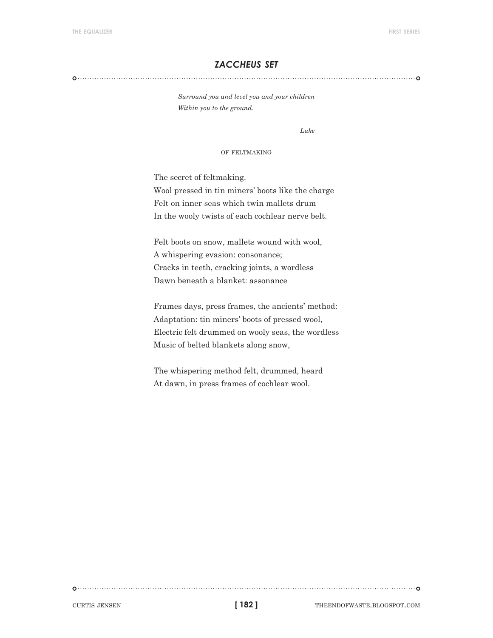#### *zaccheus set*

#### 

*Surround you and level you and your children Within you to the ground.*

*Luke*

#### of feltmaking

The secret of feltmaking.

Wool pressed in tin miners' boots like the charge Felt on inner seas which twin mallets drum In the wooly twists of each cochlear nerve belt.

Felt boots on snow, mallets wound with wool, A whispering evasion: consonance; Cracks in teeth, cracking joints, a wordless Dawn beneath a blanket: assonance

Frames days, press frames, the ancients' method: Adaptation: tin miners' boots of pressed wool, Electric felt drummed on wooly seas, the wordless Music of belted blankets along snow,

The whispering method felt, drummed, heard At dawn, in press frames of cochlear wool.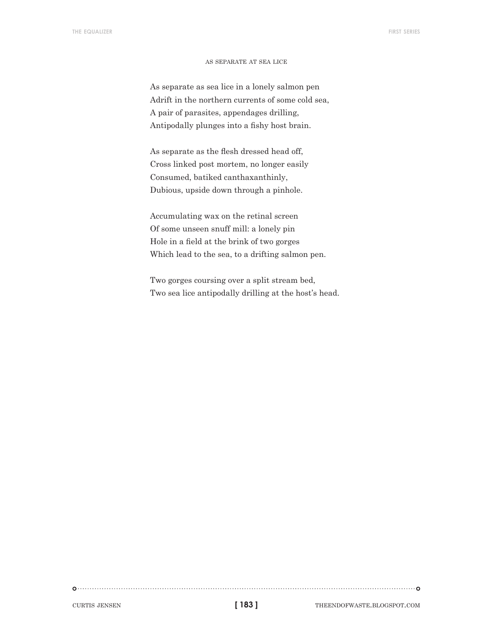#### as separate at sea lice

As separate as sea lice in a lonely salmon pen Adrift in the northern currents of some cold sea, A pair of parasites, appendages drilling, Antipodally plunges into a fishy host brain.

As separate as the flesh dressed head off, Cross linked post mortem, no longer easily Consumed, batiked canthaxanthinly, Dubious, upside down through a pinhole.

Accumulating wax on the retinal screen Of some unseen snuff mill: a lonely pin Hole in a field at the brink of two gorges Which lead to the sea, to a drifting salmon pen.

Two gorges coursing over a split stream bed, Two sea lice antipodally drilling at the host's head.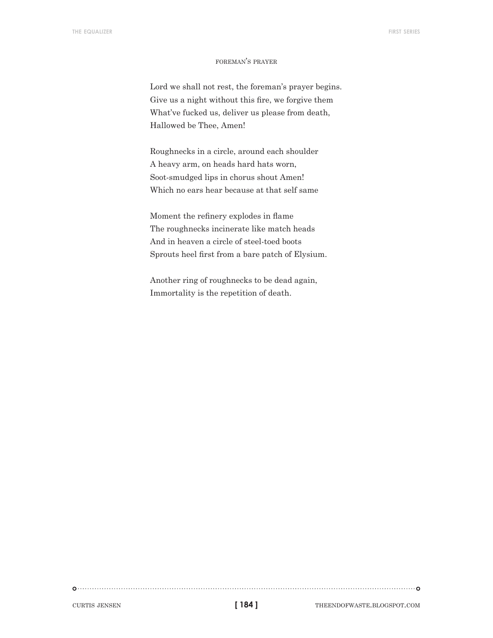#### foreman's prayer

Lord we shall not rest, the foreman's prayer begins. Give us a night without this fire, we forgive them What've fucked us, deliver us please from death, Hallowed be Thee, Amen!

Roughnecks in a circle, around each shoulder A heavy arm, on heads hard hats worn, Soot-smudged lips in chorus shout Amen! Which no ears hear because at that self same

Moment the refinery explodes in flame The roughnecks incinerate like match heads And in heaven a circle of steel-toed boots Sprouts heel first from a bare patch of Elysium.

Another ring of roughnecks to be dead again, Immortality is the repetition of death.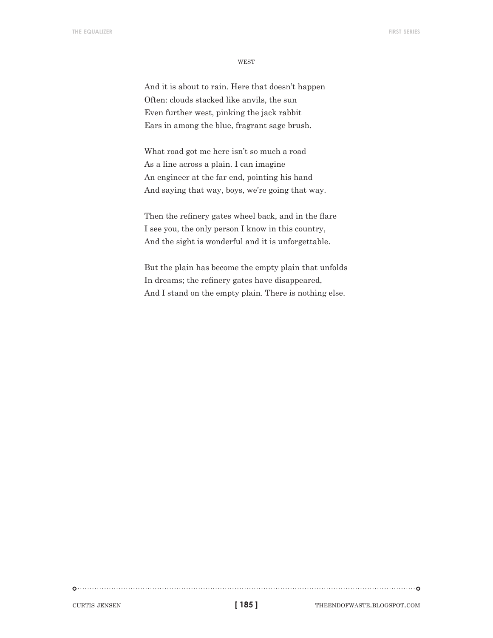**WEST** 

And it is about to rain. Here that doesn't happen Often: clouds stacked like anvils, the sun Even further west, pinking the jack rabbit Ears in among the blue, fragrant sage brush.

What road got me here isn't so much a road As a line across a plain. I can imagine An engineer at the far end, pointing his hand And saying that way, boys, we're going that way.

Then the refinery gates wheel back, and in the flare I see you, the only person I know in this country, And the sight is wonderful and it is unforgettable.

But the plain has become the empty plain that unfolds In dreams; the refinery gates have disappeared, And I stand on the empty plain. There is nothing else.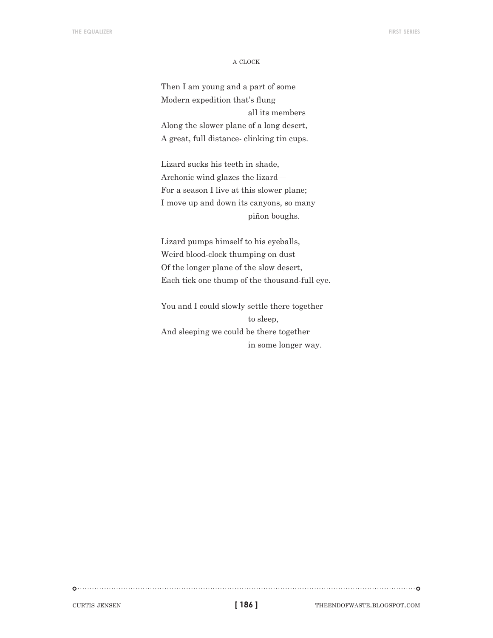#### a clock

Then I am young and a part of some Modern expedition that's flung all its members Along the slower plane of a long desert, A great, full distance- clinking tin cups.

Lizard sucks his teeth in shade, Archonic wind glazes the lizard— For a season I live at this slower plane; I move up and down its canyons, so many piñon boughs.

Lizard pumps himself to his eyeballs, Weird blood-clock thumping on dust Of the longer plane of the slow desert, Each tick one thump of the thousand-full eye.

You and I could slowly settle there together to sleep, And sleeping we could be there together in some longer way.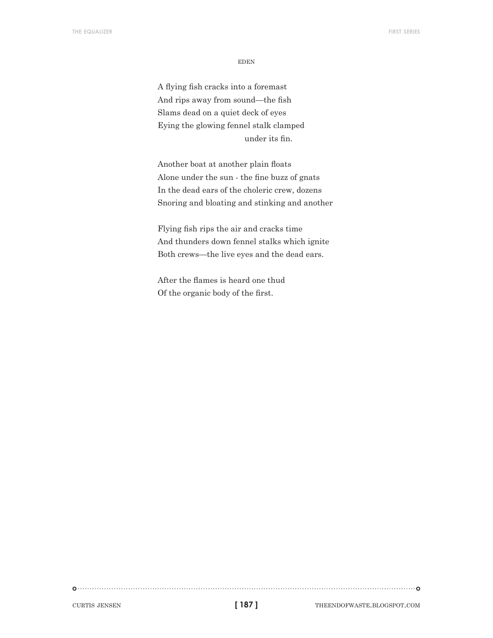eden

A flying fish cracks into a foremast And rips away from sound—the fish Slams dead on a quiet deck of eyes Eying the glowing fennel stalk clamped under its fin.

Another boat at another plain floats Alone under the sun - the fine buzz of gnats In the dead ears of the choleric crew, dozens Snoring and bloating and stinking and another

Flying fish rips the air and cracks time And thunders down fennel stalks which ignite Both crews—the live eyes and the dead ears.

After the flames is heard one thud Of the organic body of the first.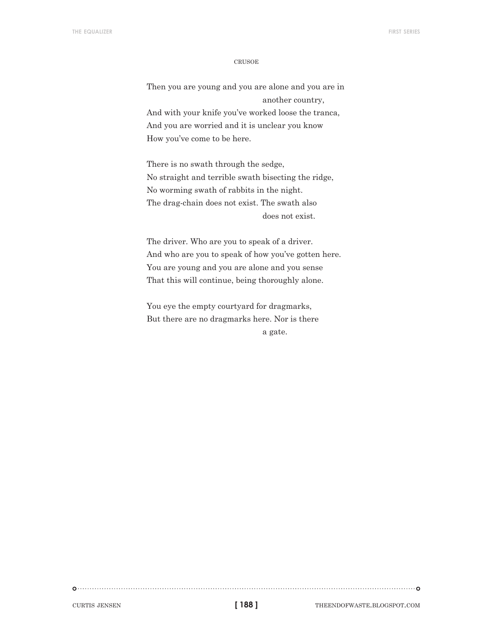#### **CRUSOE**

Then you are young and you are alone and you are in another country, And with your knife you've worked loose the tranca, And you are worried and it is unclear you know How you've come to be here.

There is no swath through the sedge, No straight and terrible swath bisecting the ridge, No worming swath of rabbits in the night. The drag-chain does not exist. The swath also does not exist.

The driver. Who are you to speak of a driver. And who are you to speak of how you've gotten here. You are young and you are alone and you sense That this will continue, being thoroughly alone.

You eye the empty courtyard for dragmarks, But there are no dragmarks here. Nor is there a gate.